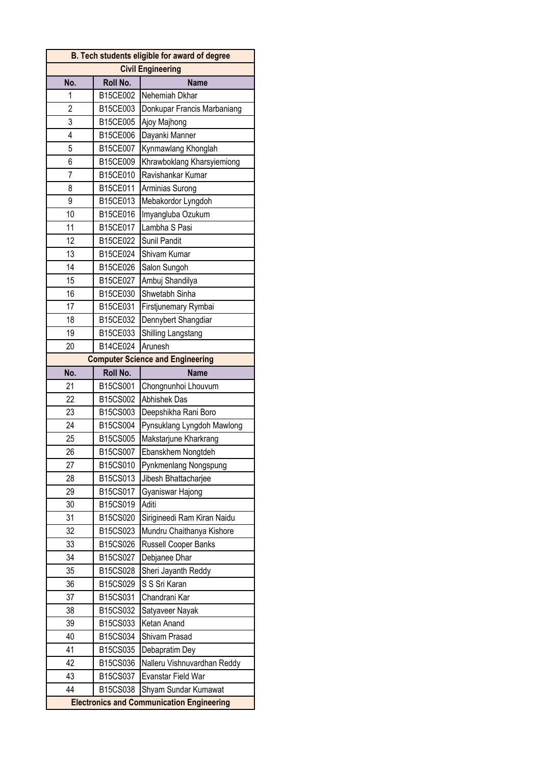| B. Tech students eligible for award of degree    |          |                                         |
|--------------------------------------------------|----------|-----------------------------------------|
| <b>Civil Engineering</b>                         |          |                                         |
| No.                                              | Roll No. | <b>Name</b>                             |
| 1                                                | B15CE002 | Nehemiah Dkhar                          |
| $\overline{2}$                                   | B15CE003 | Donkupar Francis Marbaniang             |
| 3                                                | B15CE005 | Ajoy Majhong                            |
| $\overline{4}$                                   | B15CE006 | Dayanki Manner                          |
| 5                                                | B15CE007 | Kynmawlang Khonglah                     |
| 6                                                | B15CE009 | Khrawboklang Kharsyiemiong              |
| 7                                                | B15CE010 | Ravishankar Kumar                       |
| 8                                                | B15CE011 | Arminias Surong                         |
| 9                                                | B15CE013 | Mebakordor Lyngdoh                      |
| 10                                               | B15CE016 | Imyangluba Ozukum                       |
| 11                                               | B15CE017 | Lambha S Pasi                           |
| 12                                               | B15CE022 | Sunil Pandit                            |
| 13                                               | B15CE024 | Shivam Kumar                            |
| 14                                               | B15CE026 | Salon Sungoh                            |
| 15                                               | B15CE027 | Ambuj Shandilya                         |
| 16                                               | B15CE030 | Shwetabh Sinha                          |
| 17                                               | B15CE031 | Firstjunemary Rymbai                    |
| 18                                               | B15CE032 | Dennybert Shangdiar                     |
| 19                                               | B15CE033 | Shilling Langstang                      |
| 20                                               | B14CE024 | Arunesh                                 |
|                                                  |          | <b>Computer Science and Engineering</b> |
| No.                                              | Roll No. | <b>Name</b>                             |
| 21                                               | B15CS001 | Chongnunhoi Lhouvum                     |
| 22                                               | B15CS002 | <b>Abhishek Das</b>                     |
| 23                                               | B15CS003 | Deepshikha Rani Boro                    |
| 24                                               | B15CS004 | Pynsuklang Lyngdoh Mawlong              |
| 25                                               | B15CS005 | Makstarjune Kharkrang                   |
| 26                                               | B15CS007 | Ebanskhem Nongtdeh                      |
| 27                                               | B15CS010 | Pynkmenlang Nongspung                   |
| 28                                               | B15CS013 | Jibesh Bhattacharjee                    |
| 29                                               | B15CS017 | Gyaniswar Hajong                        |
| 30                                               | B15CS019 | Aditi                                   |
| 31                                               | B15CS020 | Sirigineedi Ram Kiran Naidu             |
| 32                                               | B15CS023 | Mundru Chaithanya Kishore               |
| 33                                               | B15CS026 | Russell Cooper Banks                    |
| 34                                               | B15CS027 | Debjanee Dhar                           |
| 35                                               | B15CS028 | Sheri Jayanth Reddy                     |
| 36                                               | B15CS029 | S S Sri Karan                           |
| 37                                               | B15CS031 | Chandrani Kar                           |
| 38                                               | B15CS032 | Satyaveer Nayak                         |
| 39                                               | B15CS033 | Ketan Anand                             |
| 40                                               | B15CS034 |                                         |
| 41                                               | B15CS035 | Shivam Prasad                           |
| 42                                               | B15CS036 | Debapratim Dey                          |
| 43                                               |          | Nalleru Vishnuvardhan Reddy             |
|                                                  | B15CS037 | Evanstar Field War                      |
| 44                                               | B15CS038 | Shyam Sundar Kumawat                    |
| <b>Electronics and Communication Engineering</b> |          |                                         |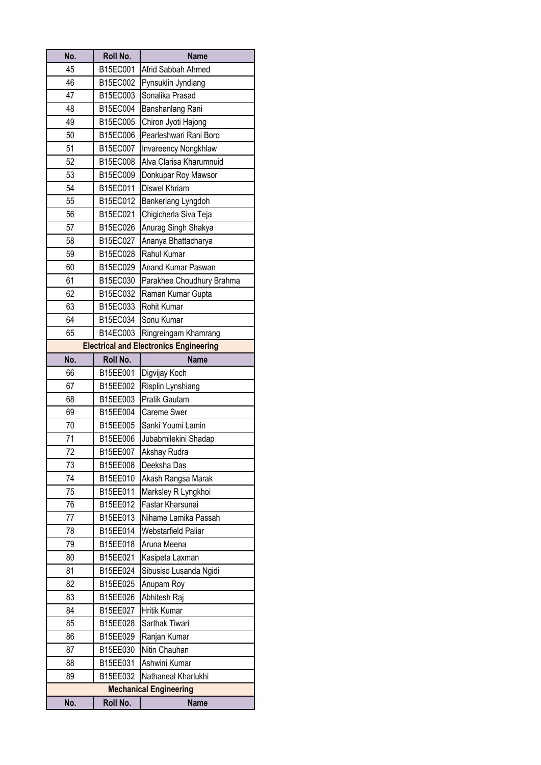| No. | Roll No. | <b>Name</b>                                   |
|-----|----------|-----------------------------------------------|
| 45  | B15EC001 | Afrid Sabbah Ahmed                            |
| 46  | B15EC002 | Pynsuklin Jyndiang                            |
| 47  | B15EC003 | Sonalika Prasad                               |
| 48  | B15EC004 | Banshanlang Rani                              |
| 49  | B15EC005 | Chiron Jyoti Hajong                           |
| 50  | B15EC006 | Pearleshwari Rani Boro                        |
| 51  | B15EC007 | Invareency Nongkhlaw                          |
| 52  | B15EC008 | Alva Clarisa Kharumnuid                       |
| 53  | B15EC009 | Donkupar Roy Mawsor                           |
| 54  | B15EC011 | Diswel Khriam                                 |
| 55  | B15EC012 | Bankerlang Lyngdoh                            |
| 56  | B15EC021 | Chigicherla Siva Teja                         |
| 57  | B15EC026 | Anurag Singh Shakya                           |
| 58  | B15EC027 | Ananya Bhattacharya                           |
| 59  | B15EC028 | Rahul Kumar                                   |
| 60  | B15EC029 | Anand Kumar Paswan                            |
| 61  | B15EC030 | Parakhee Choudhury Brahma                     |
| 62  | B15EC032 | Raman Kumar Gupta                             |
| 63  | B15EC033 | Rohit Kumar                                   |
| 64  | B15EC034 | Sonu Kumar                                    |
| 65  | B14EC003 | Ringreingam Khamrang                          |
|     |          | <b>Electrical and Electronics Engineering</b> |
| No. | Roll No. | <b>Name</b>                                   |
| 66  | B15EE001 | Digvijay Koch                                 |
| 67  | B15EE002 | Risplin Lynshiang                             |
| 68  | B15EE003 | Pratik Gautam                                 |
| 69  | B15EE004 | <b>Careme Swer</b>                            |
| 70  | B15EE005 | Sanki Youmi Lamin                             |
| 71  | B15EE006 | Jubabmilekini Shadap                          |
| 72  | B15EE007 | Akshay Rudra                                  |
| 73  | B15EE008 | Deeksha Das                                   |
| 74  | B15EE010 | Akash Rangsa Marak                            |
| 75  | B15EE011 | Marksley R Lyngkhoi                           |
| 76  | B15EE012 | Fastar Kharsunai                              |
| 77  | B15EE013 | Nihame Lamika Passah                          |
| 78  | B15EE014 | Webstarfield Paliar                           |
| 79  | B15EE018 | Aruna Meena                                   |
| 80  | B15EE021 | Kasipeta Laxman                               |
| 81  | B15EE024 | Sibusiso Lusanda Ngidi                        |
| 82  | B15EE025 | Anupam Roy                                    |
| 83  | B15EE026 | Abhitesh Raj                                  |
| 84  | B15EE027 | Hritik Kumar                                  |
| 85  | B15EE028 | Sarthak Tiwari                                |
| 86  | B15EE029 | Ranjan Kumar                                  |
| 87  | B15EE030 | Nitin Chauhan                                 |
| 88  | B15EE031 | Ashwini Kumar                                 |
| 89  | B15EE032 | Nathaneal Kharlukhi                           |
|     |          | <b>Mechanical Engineering</b>                 |
| No. | Roll No. | <b>Name</b>                                   |
|     |          |                                               |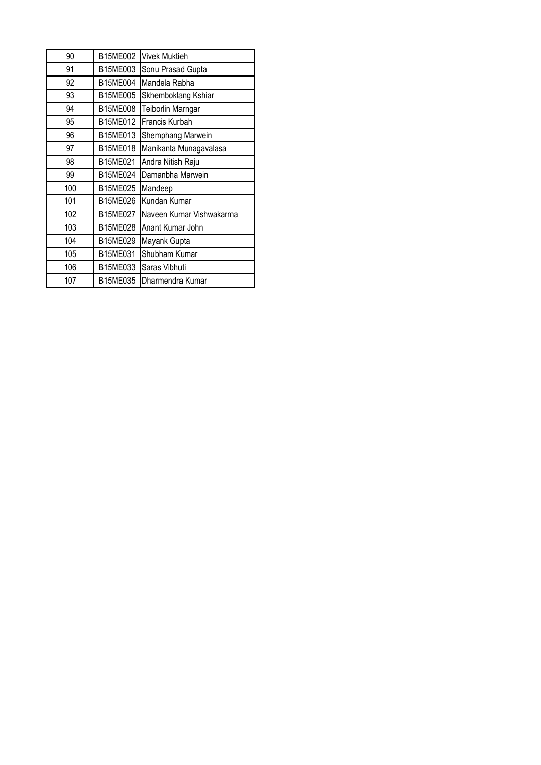| 90  | B15ME002 | <b>Vivek Muktieh</b>     |
|-----|----------|--------------------------|
| 91  | B15ME003 | Sonu Prasad Gupta        |
| 92  | B15ME004 | Mandela Rabha            |
| 93  | B15ME005 | Skhemboklang Kshiar      |
| 94  | B15ME008 | Teiborlin Marngar        |
| 95  | B15ME012 | Francis Kurbah           |
| 96  | B15ME013 | Shemphang Marwein        |
| 97  | B15ME018 | Manikanta Munagavalasa   |
| 98  | B15ME021 | Andra Nitish Raju        |
| 99  | B15ME024 | Damanbha Marwein         |
| 100 | B15ME025 | Mandeep                  |
| 101 | B15ME026 | Kundan Kumar             |
| 102 | B15ME027 | Naveen Kumar Vishwakarma |
| 103 | B15ME028 | Anant Kumar John         |
| 104 | B15ME029 | Mayank Gupta             |
| 105 | B15ME031 | Shubham Kumar            |
| 106 | B15ME033 | Saras Vibhuti            |
| 107 | B15ME035 | Dharmendra Kumar         |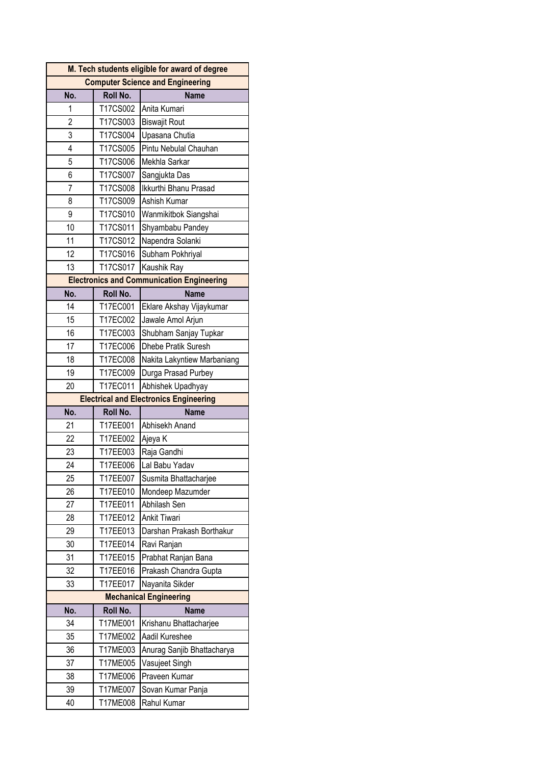|                                         | M. Tech students eligible for award of degree |                                                  |  |
|-----------------------------------------|-----------------------------------------------|--------------------------------------------------|--|
| <b>Computer Science and Engineering</b> |                                               |                                                  |  |
| No.                                     | Roll No.                                      | <b>Name</b>                                      |  |
| 1                                       | T17CS002                                      | Anita Kumari                                     |  |
| $\overline{2}$                          | T17CS003                                      | <b>Biswajit Rout</b>                             |  |
| 3                                       | T17CS004                                      | Upasana Chutia                                   |  |
| 4                                       | T17CS005                                      | Pintu Nebulal Chauhan                            |  |
| 5                                       | T17CS006                                      | Mekhla Sarkar                                    |  |
| 6                                       | T17CS007                                      | Sangjukta Das                                    |  |
| 7                                       | T17CS008                                      | Ikkurthi Bhanu Prasad                            |  |
| 8                                       | T17CS009                                      | Ashish Kumar                                     |  |
| 9                                       | T17CS010                                      | Wanmikitbok Siangshai                            |  |
| 10                                      | T17CS011                                      | Shyambabu Pandey                                 |  |
| 11                                      | T17CS012                                      | Napendra Solanki                                 |  |
| 12                                      | T17CS016                                      | Subham Pokhriyal                                 |  |
| 13                                      | T17CS017                                      | Kaushik Ray                                      |  |
|                                         |                                               | <b>Electronics and Communication Engineering</b> |  |
| No.                                     | Roll No.                                      | <b>Name</b>                                      |  |
| 14                                      | T17EC001                                      | Eklare Akshay Vijaykumar                         |  |
| 15                                      | T17EC002                                      | Jawale Amol Arjun                                |  |
| 16                                      | T17EC003                                      | Shubham Sanjay Tupkar                            |  |
| 17                                      | T17EC006                                      | Dhebe Pratik Suresh                              |  |
| 18                                      | T17EC008                                      | Nakita Lakyntiew Marbaniang                      |  |
| 19                                      | T17EC009                                      | Durga Prasad Purbey                              |  |
| 20                                      | T17EC011                                      | Abhishek Upadhyay                                |  |
|                                         |                                               | <b>Electrical and Electronics Engineering</b>    |  |
|                                         |                                               | <b>Name</b>                                      |  |
| No.                                     | Roll No.                                      |                                                  |  |
| 21                                      | T17EE001                                      | Abhisekh Anand                                   |  |
| 22                                      | T17EE002                                      | Ajeya K                                          |  |
| 23                                      | T17EE003                                      | Raja Gandhi                                      |  |
| 24                                      | T17EE006                                      | Lal Babu Yadav                                   |  |
| 25                                      | T17EE007                                      | Susmita Bhattacharjee                            |  |
| 26                                      | T17EE010                                      | Mondeep Mazumder                                 |  |
| 27                                      | T17EE011                                      | Abhilash Sen                                     |  |
| 28                                      | T17EE012                                      | Ankit Tiwari                                     |  |
| 29                                      | T17EE013                                      | Darshan Prakash Borthakur                        |  |
| 30                                      | T17EE014                                      | Ravi Ranjan                                      |  |
| 31                                      | T17EE015                                      | Prabhat Ranjan Bana                              |  |
| 32                                      | T17EE016                                      | Prakash Chandra Gupta                            |  |
| 33                                      | T17EE017                                      | Nayanita Sikder                                  |  |
|                                         |                                               | <b>Mechanical Engineering</b>                    |  |
| No.                                     | Roll No.                                      | <b>Name</b>                                      |  |
| 34                                      | T17ME001                                      | Krishanu Bhattacharjee                           |  |
| 35                                      | T17ME002                                      | Aadil Kureshee                                   |  |
| 36                                      | T17ME003                                      | Anurag Sanjib Bhattacharya                       |  |
| 37                                      | T17ME005                                      | Vasujeet Singh                                   |  |
| 38                                      | T17ME006                                      | Praveen Kumar                                    |  |
| 39<br>40                                | T17ME007<br>T17ME008                          | Sovan Kumar Panja<br>Rahul Kumar                 |  |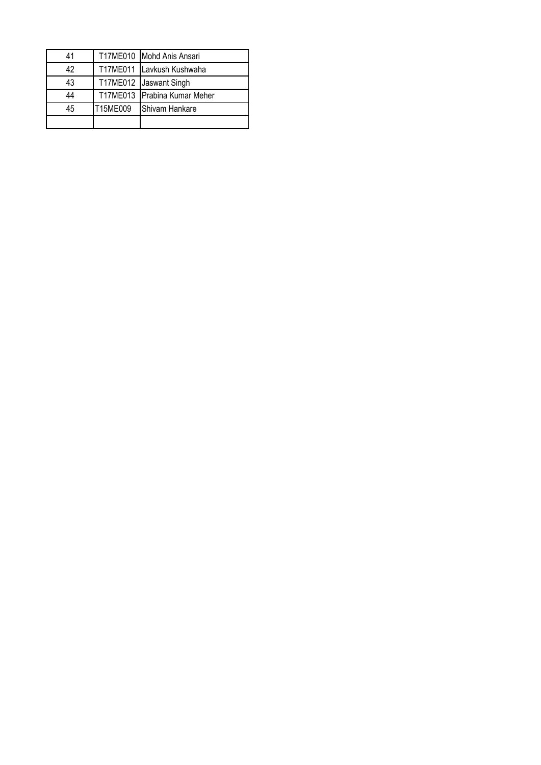| 41 |          | T17ME010 Mohd Anis Ansari    |
|----|----------|------------------------------|
| 42 |          | T17ME011 Lavkush Kushwaha    |
| 43 |          | T17ME012 Jaswant Singh       |
| 44 |          | T17ME013 Prabina Kumar Meher |
| 45 | T15ME009 | <b>Shivam Hankare</b>        |
|    |          |                              |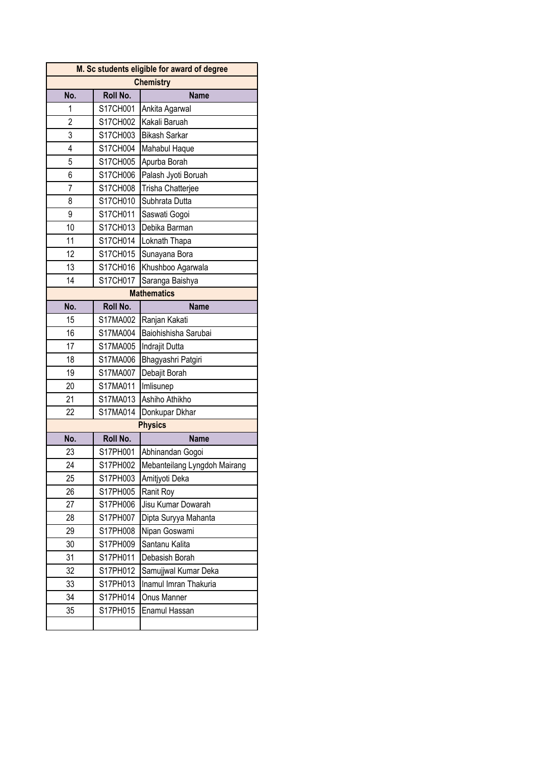| M. Sc students eligible for award of degree |          |                              |
|---------------------------------------------|----------|------------------------------|
| <b>Chemistry</b>                            |          |                              |
| No.                                         | Roll No. | <b>Name</b>                  |
| 1                                           | S17CH001 | Ankita Agarwal               |
| 2                                           | S17CH002 | Kakali Baruah                |
| 3                                           | S17CH003 | <b>Bikash Sarkar</b>         |
| 4                                           | S17CH004 | Mahabul Haque                |
| 5                                           | S17CH005 | Apurba Borah                 |
| 6                                           | S17CH006 | Palash Jyoti Boruah          |
| $\overline{7}$                              | S17CH008 | Trisha Chatterjee            |
| 8                                           | S17CH010 | Subhrata Dutta               |
| 9                                           | S17CH011 | Saswati Gogoi                |
| 10                                          | S17CH013 | Debika Barman                |
| 11                                          | S17CH014 | Loknath Thapa                |
| 12                                          | S17CH015 | Sunayana Bora                |
| 13                                          | S17CH016 | Khushboo Agarwala            |
| 14                                          | S17CH017 | Saranga Baishya              |
|                                             |          | <b>Mathematics</b>           |
| No.                                         | Roll No. | <b>Name</b>                  |
| 15                                          | S17MA002 | Ranjan Kakati                |
| 16                                          | S17MA004 | Baiohishisha Sarubai         |
| 17                                          | S17MA005 | Indrajit Dutta               |
| 18                                          | S17MA006 | Bhagyashri Patgiri           |
| 19                                          | S17MA007 | Debajit Borah                |
| 20                                          | S17MA011 | Imlisunep                    |
| 21                                          | S17MA013 | Ashiho Athikho               |
| 22                                          | S17MA014 | Donkupar Dkhar               |
|                                             |          | <b>Physics</b>               |
| No.                                         | Roll No. | <b>Name</b>                  |
| 23                                          | S17PH001 | Abhinandan Gogoi             |
| 24                                          | S17PH002 | Mebanteilang Lyngdoh Mairang |
| 25                                          | S17PH003 | Amitjyoti Deka               |
| 26                                          | S17PH005 | Ranit Roy                    |
| 27                                          | S17PH006 | Jisu Kumar Dowarah           |
| 28                                          | S17PH007 | Dipta Suryya Mahanta         |
| 29                                          | S17PH008 | Nipan Goswami                |
| 30                                          | S17PH009 | Santanu Kalita               |
| 31                                          | S17PH011 | Debasish Borah               |
| 32                                          | S17PH012 | Samujjwal Kumar Deka         |
| 33                                          | S17PH013 | Inamul Imran Thakuria        |
| 34                                          | S17PH014 | Onus Manner                  |
| 35                                          | S17PH015 | Enamul Hassan                |
|                                             |          |                              |